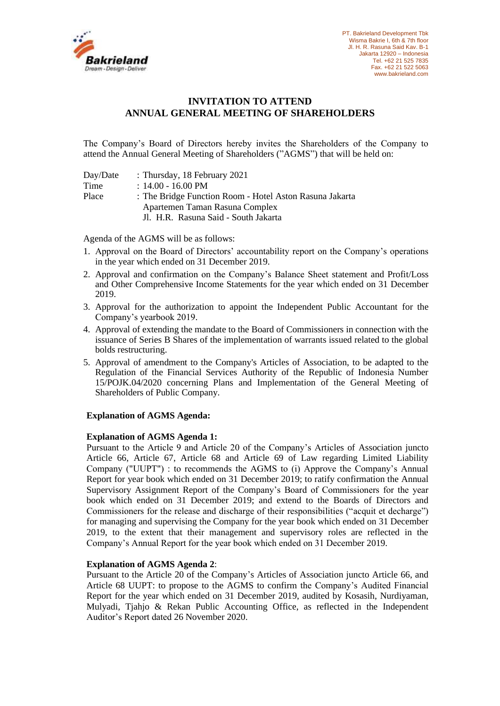

# **INVITATION TO ATTEND ANNUAL GENERAL MEETING OF SHAREHOLDERS**

The Company's Board of Directors hereby invites the Shareholders of the Company to attend the Annual General Meeting of Shareholders ("AGMS") that will be held on:

| Day/Date | : Thursday, 18 February 2021                            |
|----------|---------------------------------------------------------|
| Time     | $: 14.00 - 16.00 \text{ PM}$                            |
| Place    | : The Bridge Function Room - Hotel Aston Rasuna Jakarta |
|          | Apartemen Taman Rasuna Complex                          |
|          | Jl. H.R. Rasuna Said - South Jakarta                    |

Agenda of the AGMS will be as follows:

- 1. Approval on the Board of Directors' accountability report on the Company's operations in the year which ended on 31 December 2019.
- 2. Approval and confirmation on the Company's Balance Sheet statement and Profit/Loss and Other Comprehensive Income Statements for the year which ended on 31 December 2019.
- 3. Approval for the authorization to appoint the Independent Public Accountant for the Company's yearbook 2019.
- 4. Approval of extending the mandate to the Board of Commissioners in connection with the issuance of Series B Shares of the implementation of warrants issued related to the global bolds restructuring.
- 5. Approval of amendment to the Company's Articles of Association, to be adapted to the Regulation of the Financial Services Authority of the Republic of Indonesia Number 15/POJK.04/2020 concerning Plans and Implementation of the General Meeting of Shareholders of Public Company.

### **Explanation of AGMS Agenda:**

### **Explanation of AGMS Agenda 1:**

Pursuant to the Article 9 and Article 20 of the Company's Articles of Association juncto Article 66, Article 67, Article 68 and Article 69 of Law regarding Limited Liability Company ("UUPT") : to recommends the AGMS to (i) Approve the Company's Annual Report for year book which ended on 31 December 2019; to ratify confirmation the Annual Supervisory Assignment Report of the Company's Board of Commissioners for the year book which ended on 31 December 2019; and extend to the Boards of Directors and Commissioners for the release and discharge of their responsibilities ("acquit et decharge") for managing and supervising the Company for the year book which ended on 31 December 2019, to the extent that their management and supervisory roles are reflected in the Company's Annual Report for the year book which ended on 31 December 2019.

### **Explanation of AGMS Agenda 2**:

Pursuant to the Article 20 of the Company's Articles of Association juncto Article 66, and Article 68 UUPT: to propose to the AGMS to confirm the Company's Audited Financial Report for the year which ended on 31 December 2019, audited by Kosasih, Nurdiyaman, Mulyadi, Tjahjo & Rekan Public Accounting Office, as reflected in the Independent Auditor's Report dated 26 November 2020.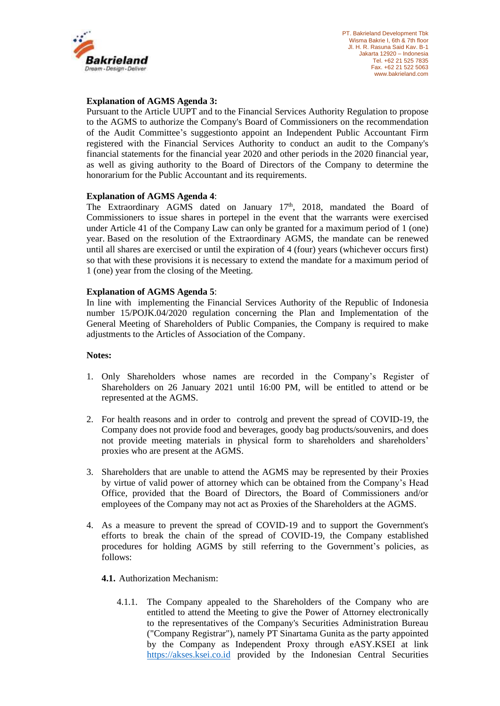

### **Explanation of AGMS Agenda 3:**

Pursuant to the Article UUPT and to the Financial Services Authority Regulation to propose to the AGMS to authorize the Company's Board of Commissioners on the recommendation of the Audit Committee's suggestionto appoint an Independent Public Accountant Firm registered with the Financial Services Authority to conduct an audit to the Company's financial statements for the financial year 2020 and other periods in the 2020 financial year, as well as giving authority to the Board of Directors of the Company to determine the honorarium for the Public Accountant and its requirements.

### **Explanation of AGMS Agenda 4**:

The Extraordinary AGMS dated on January 17<sup>th</sup>, 2018, mandated the Board of Commissioners to issue shares in portepel in the event that the warrants were exercised under Article 41 of the Company Law can only be granted for a maximum period of 1 (one) year. Based on the resolution of the Extraordinary AGMS, the mandate can be renewed until all shares are exercised or until the expiration of 4 (four) years (whichever occurs first) so that with these provisions it is necessary to extend the mandate for a maximum period of 1 (one) year from the closing of the Meeting.

# **Explanation of AGMS Agenda 5**:

In line with implementing the Financial Services Authority of the Republic of Indonesia number 15/POJK.04/2020 regulation concerning the Plan and Implementation of the General Meeting of Shareholders of Public Companies, the Company is required to make adjustments to the Articles of Association of the Company.

### **Notes:**

- 1. Only Shareholders whose names are recorded in the Company's Register of Shareholders on 26 January 2021 until 16:00 PM, will be entitled to attend or be represented at the AGMS.
- 2. For health reasons and in order to controlg and prevent the spread of COVID-19, the Company does not provide food and beverages, goody bag products/souvenirs, and does not provide meeting materials in physical form to shareholders and shareholders' proxies who are present at the AGMS.
- 3. Shareholders that are unable to attend the AGMS may be represented by their Proxies by virtue of valid power of attorney which can be obtained from the Company's Head Office, provided that the Board of Directors, the Board of Commissioners and/or employees of the Company may not act as Proxies of the Shareholders at the AGMS.
- 4. As a measure to prevent the spread of COVID-19 and to support the Government's efforts to break the chain of the spread of COVID-19, the Company established procedures for holding AGMS by still referring to the Government's policies, as follows:

### **4.1.** Authorization Mechanism:

4.1.1. The Company appealed to the Shareholders of the Company who are entitled to attend the Meeting to give the Power of Attorney electronically to the representatives of the Company's Securities Administration Bureau ("Company Registrar"), namely PT Sinartama Gunita as the party appointed by the Company as Independent Proxy through eASY.KSEI at link [https://akses.ksei.co.id](https://akses.ksei.co.id/) provided by the Indonesian Central Securities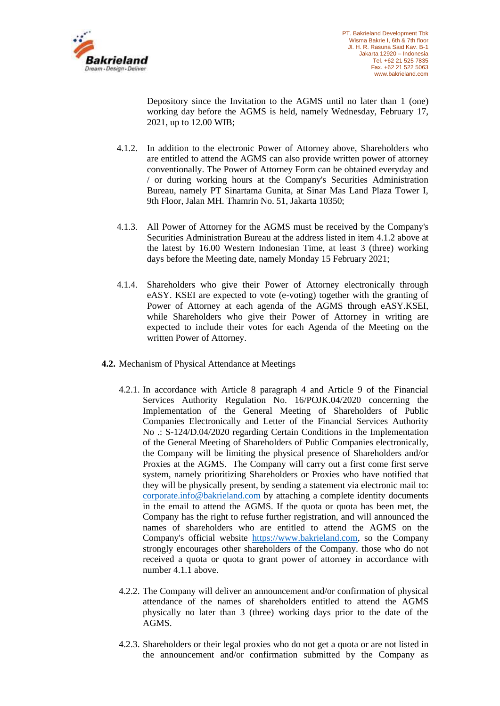

Depository since the Invitation to the AGMS until no later than 1 (one) working day before the AGMS is held, namely Wednesday, February 17, 2021, up to 12.00 WIB;

- 4.1.2. In addition to the electronic Power of Attorney above, Shareholders who are entitled to attend the AGMS can also provide written power of attorney conventionally. The Power of Attorney Form can be obtained everyday and / or during working hours at the Company's Securities Administration Bureau, namely PT Sinartama Gunita, at Sinar Mas Land Plaza Tower I, 9th Floor, Jalan MH. Thamrin No. 51, Jakarta 10350;
- 4.1.3. All Power of Attorney for the AGMS must be received by the Company's Securities Administration Bureau at the address listed in item 4.1.2 above at the latest by 16.00 Western Indonesian Time, at least 3 (three) working days before the Meeting date, namely Monday 15 February 2021;
- 4.1.4. Shareholders who give their Power of Attorney electronically through eASY. KSEI are expected to vote (e-voting) together with the granting of Power of Attorney at each agenda of the AGMS through eASY.KSEI, while Shareholders who give their Power of Attorney in writing are expected to include their votes for each Agenda of the Meeting on the written Power of Attorney.
- **4.2.** Mechanism of Physical Attendance at Meetings
	- 4.2.1. In accordance with Article 8 paragraph 4 and Article 9 of the Financial Services Authority Regulation No. 16/POJK.04/2020 concerning the Implementation of the General Meeting of Shareholders of Public Companies Electronically and Letter of the Financial Services Authority No .: S-124/D.04/2020 regarding Certain Conditions in the Implementation of the General Meeting of Shareholders of Public Companies electronically, the Company will be limiting the physical presence of Shareholders and/or Proxies at the AGMS. The Company will carry out a first come first serve system, namely prioritizing Shareholders or Proxies who have notified that they will be physically present, by sending a statement via electronic mail to: [corporate.info@bakrieland.com](mailto:corporate.info@bakrieland.com) by attaching a complete identity documents in the email to attend the AGMS. If the quota or quota has been met, the Company has the right to refuse further registration, and will announced the names of shareholders who are entitled to attend the AGMS on the Company's official website [https://www.bakrieland.com,](https://www.bakrieland.com/) so the Company strongly encourages other shareholders of the Company. those who do not received a quota or quota to grant power of attorney in accordance with number 4.1.1 above.
	- 4.2.2. The Company will deliver an announcement and/or confirmation of physical attendance of the names of shareholders entitled to attend the AGMS physically no later than 3 (three) working days prior to the date of the AGMS.
	- 4.2.3. Shareholders or their legal proxies who do not get a quota or are not listed in the announcement and/or confirmation submitted by the Company as